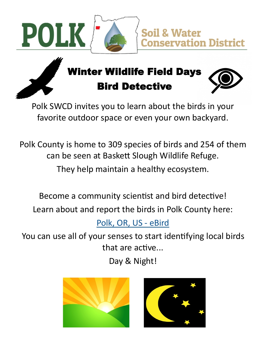



### Winter Wildlife Field Days Bird Detective



Polk SWCD invites you to learn about the birds in your favorite outdoor space or even your own backyard.

Polk County is home to 309 species of birds and 254 of them can be seen at Baskett Slough Wildlife Refuge.

They help maintain a healthy ecosystem.

Become a community scientist and bird detective!

Learn about and report the birds in Polk County here:

[Polk, OR, US](https://ebird.org/region/US-OR-053?yr=all&m=&rank=mrec) - eBird

You can use all of your senses to start identifying local birds that are active...

Day & Night!



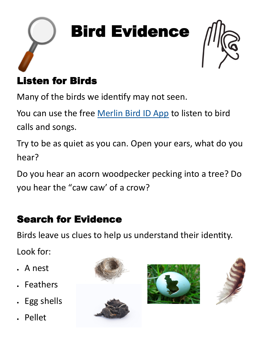



#### Listen for Birds

Many of the birds we identify may not seen.

You can use the free [Merlin Bird ID App](https://merlin.allaboutbirds.org/?__hstc=161696355.35cb503d0e7a27340f617974e4454396.1643481571159.1644291056146.1644293549095.5&__hssc=161696355.20.1644293549095&__hsfp=3357541417&_gl=1%2A128bx3e%2A_ga%2AMzQ4MDYzMTA0LjE2NDQyNTE4OTY.%2A_ga_QR4NVXZ8BM%2AMTY0) to listen to bird calls and songs.

Try to be as quiet as you can. Open your ears, what do you hear?

Do you hear an acorn woodpecker pecking into a tree? Do you hear the "caw caw' of a crow?

#### Search for Evidence

Birds leave us clues to help us understand their identity.

Look for:

- A nest
- Feathers
- Egg shells
- Pellet





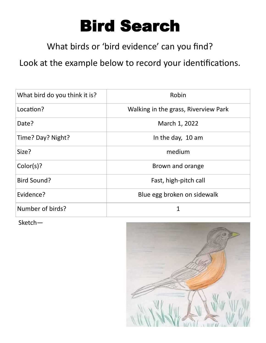## Bird Search

What birds or 'bird evidence' can you find?

Look at the example below to record your identifications.

| What bird do you think it is? | Robin                                |
|-------------------------------|--------------------------------------|
| Location?                     | Walking in the grass, Riverview Park |
| Date?                         | March 1, 2022                        |
| Time? Day? Night?             | In the day, 10 am                    |
| Size?                         | medium                               |
| Color(s)?                     | Brown and orange                     |
| <b>Bird Sound?</b>            | Fast, high-pitch call                |
| Evidence?                     | Blue egg broken on sidewalk          |
| Number of birds?              | 1                                    |

Sketch—